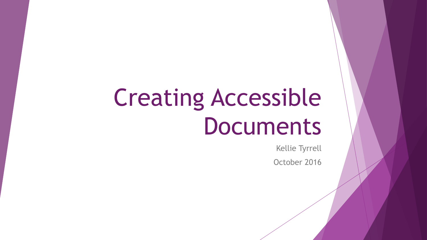# Creating Accessible Documents

Kellie Tyrrell

October 2016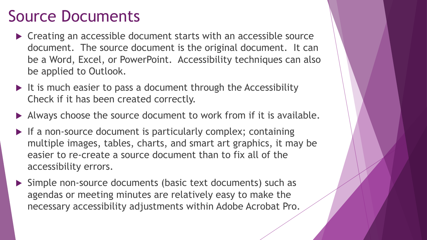### Source Documents

- ▶ Creating an accessible document starts with an accessible source document. The source document is the original document. It can be a Word, Excel, or PowerPoint. Accessibility techniques can also be applied to Outlook.
- $\blacktriangleright$  It is much easier to pass a document through the Accessibility Check if it has been created correctly.
- Always choose the source document to work from if it is available.
- $\blacktriangleright$  If a non-source document is particularly complex; containing multiple images, tables, charts, and smart art graphics, it may be easier to re-create a source document than to fix all of the accessibility errors.
- Simple non-source documents (basic text documents) such as agendas or meeting minutes are relatively easy to make the necessary accessibility adjustments within Adobe Acrobat Pro.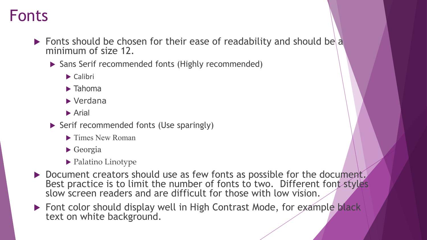### Fonts

- Fonts should be chosen for their ease of readability and should be a minimum of size 12.
	- ▶ Sans Serif recommended fonts (Highly recommended)
		- $\blacktriangleright$  Calibri
		- $\blacktriangleright$  Tahoma
		- ▶ Verdana
		- **Arial**
	- Serif recommended fonts (Use sparingly)
		- Times New Roman
		- Georgia
		- $\blacktriangleright$  Palatino Linotype
- Document creators should use as few fonts as possible for the document. Best practice is to limit the number of fonts to two. Different font styles slow screen readers and are difficult for those with low vision.
- Font color should display well in High Contrast Mode, for example black text on white background.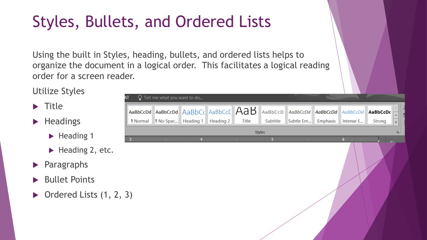# Styles, Bullets, and Ordered Lists

Using the built in Styles, heading, bullets, and ordered lists helps to organize the document in a logical order. This facilitates a logical reading order for a screen reader.

Utilize Styles

- $\blacktriangleright$  Title
- $\blacktriangleright$  Headings
	- $\blacktriangleright$  Heading 1
	- $\blacktriangleright$  Heading 2, etc.
- **Paragraphs**
- Bullet Points
- $\triangleright$  Ordered Lists  $(1, 2, 3)$

|                                     | $\Omega$ Tell me what you want to do                                                                                                                                             |                                      |                                                       |       |          |                                             |  |                                      |        |                         |
|-------------------------------------|----------------------------------------------------------------------------------------------------------------------------------------------------------------------------------|--------------------------------------|-------------------------------------------------------|-------|----------|---------------------------------------------|--|--------------------------------------|--------|-------------------------|
|                                     | aBbCcDd AaBbCcDd Aa $\overline{\mathsf{B}}$ b $\overline{\mathsf{C}}$ ( Aa $\overline{\mathsf{B}}$ bCc $\overline{\mathsf{C}}$ $\overline{\mathsf{A}}$ a $\overline{\mathsf{B}}$ |                                      |                                                       |       |          | AaBbCcD AaBbCcDd AaBbCcDd AaBbCcDd AaBbCcDc |  |                                      |        | $\bar{\mathbf{v}}$      |
| I Normal                            |                                                                                                                                                                                  | <b>1 No Spac</b> Heading 1 Heading 2 |                                                       | Title | Subtitle | Subtle Em Emphasis                          |  | Intense E                            | Strong | $\overline{\mathbf{v}}$ |
| Styles<br>$\overline{\mathbb{F}_2}$ |                                                                                                                                                                                  |                                      |                                                       |       |          |                                             |  |                                      |        |                         |
|                                     | the property of the control of the                                                                                                                                               | 4                                    | the control of the control of the control of the con- |       |          | 5 Contract of the Contract Contract of      |  | 6 <sup>1</sup><br>the control of the |        |                         |
|                                     |                                                                                                                                                                                  |                                      |                                                       |       |          |                                             |  |                                      |        |                         |
|                                     |                                                                                                                                                                                  |                                      |                                                       |       |          |                                             |  |                                      |        |                         |
|                                     |                                                                                                                                                                                  |                                      |                                                       |       |          |                                             |  |                                      |        |                         |
|                                     |                                                                                                                                                                                  |                                      |                                                       |       |          |                                             |  |                                      |        |                         |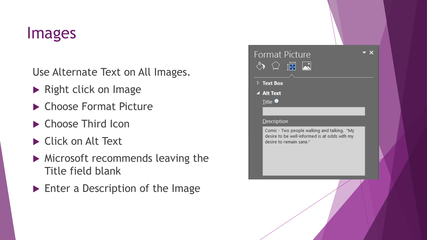### Images

Use Alternate Text on All Images.

- Right click on Image
- ▶ Choose Format Picture
- ▶ Choose Third Icon
- Click on Alt Text
- Microsoft recommends leaving the Title field blank
- **Enter a Description of the Image**

| <b>Format Picture</b><br>$\Diamond$ $\cap$ $\overline{\mathbb{E}}$ $\overline{\mathbb{E}}$                              |  |  |
|-------------------------------------------------------------------------------------------------------------------------|--|--|
| $\triangleright$ Text Box<br>▲ Alt Text                                                                                 |  |  |
| $I$ itle $\bullet$<br><b>Description</b>                                                                                |  |  |
| Comic - Two people walking and talking. "My<br>desire to be well-informed is at odds with my<br>desire to remain sane." |  |  |
|                                                                                                                         |  |  |

Z.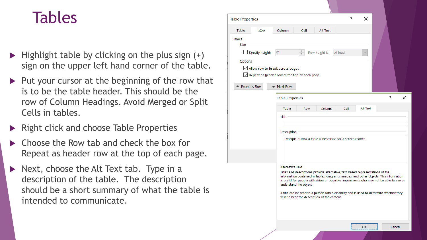### Tables

- $\blacktriangleright$  Highlight table by clicking on the plus sign  $(+)$ sign on the upper left hand corner of the table.
- $\blacktriangleright$  Put your cursor at the beginning of the row that is to be the table header. This should be the row of Column Headings. Avoid Merged or Split Cells in tables.
- Right click and choose Table Properties
- Choose the Row tab and check the box for Repeat as header row at the top of each page.
- Next, choose the Alt Text tab. Type in a description of the table. The description should be a short summary of what the table is intended to communicate.

| <b>Table Properties</b>                                                                     |                                                                                                                                                                                                                                                                                               |                                              |            |                | ?        | ×        |                                                                                         |  |
|---------------------------------------------------------------------------------------------|-----------------------------------------------------------------------------------------------------------------------------------------------------------------------------------------------------------------------------------------------------------------------------------------------|----------------------------------------------|------------|----------------|----------|----------|-----------------------------------------------------------------------------------------|--|
| Table                                                                                       | Row                                                                                                                                                                                                                                                                                           | Column                                       | Cell       | Alt Text       |          |          |                                                                                         |  |
| <b>Rows</b><br>Size                                                                         |                                                                                                                                                                                                                                                                                               |                                              |            |                |          |          |                                                                                         |  |
|                                                                                             | Specify height:                                                                                                                                                                                                                                                                               | $\hat{=}$<br>0"                              |            | Row height is: | At least |          |                                                                                         |  |
| Options                                                                                     |                                                                                                                                                                                                                                                                                               |                                              |            |                |          |          |                                                                                         |  |
| Allow row to break across pages<br>$\sqrt{\ }$ Repeat as header row at the top of each page |                                                                                                                                                                                                                                                                                               |                                              |            |                |          |          |                                                                                         |  |
|                                                                                             |                                                                                                                                                                                                                                                                                               |                                              |            |                |          |          |                                                                                         |  |
| ▲ Previous Row                                                                              |                                                                                                                                                                                                                                                                                               | Next Row                                     |            |                |          |          |                                                                                         |  |
|                                                                                             |                                                                                                                                                                                                                                                                                               | <b>Table Properties</b>                      |            |                |          |          | ŗ<br>×                                                                                  |  |
|                                                                                             |                                                                                                                                                                                                                                                                                               | Table                                        | <b>Row</b> | Column         | Cell     | Alt Text |                                                                                         |  |
|                                                                                             |                                                                                                                                                                                                                                                                                               | Title                                        |            |                |          |          |                                                                                         |  |
|                                                                                             |                                                                                                                                                                                                                                                                                               |                                              |            |                |          |          |                                                                                         |  |
|                                                                                             |                                                                                                                                                                                                                                                                                               | <b>Description</b>                           |            |                |          |          |                                                                                         |  |
| Example of how a table is described for a screen reader.                                    |                                                                                                                                                                                                                                                                                               |                                              |            |                |          |          |                                                                                         |  |
|                                                                                             |                                                                                                                                                                                                                                                                                               |                                              |            |                |          |          |                                                                                         |  |
|                                                                                             |                                                                                                                                                                                                                                                                                               |                                              |            |                |          |          |                                                                                         |  |
| <b>Alternative Text</b>                                                                     |                                                                                                                                                                                                                                                                                               |                                              |            |                |          |          |                                                                                         |  |
|                                                                                             | Titles and descriptions provide alternative, text-based representations of the<br>information contained in tables, diagrams, images, and other objects. This information<br>is useful for people with vision or cognitive impairments who may not be able to see or<br>understand the object. |                                              |            |                |          |          |                                                                                         |  |
|                                                                                             |                                                                                                                                                                                                                                                                                               | wish to hear the description of the content. |            |                |          |          | A title can be read to a person with a disability and is used to determine whether they |  |
|                                                                                             |                                                                                                                                                                                                                                                                                               |                                              |            |                |          | OK       | Cancel                                                                                  |  |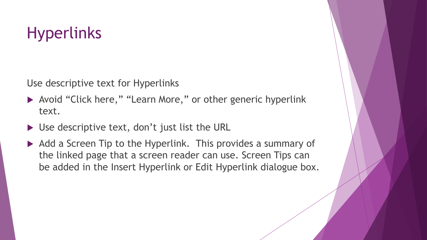## **Hyperlinks**

Use descriptive text for Hyperlinks

- ▶ Avoid "Click here," "Learn More," or other generic hyperlink text.
- ▶ Use descriptive text, don't just list the URL
- Add a Screen Tip to the Hyperlink. This provides a summary of the linked page that a screen reader can use. Screen Tips can be added in the Insert Hyperlink or Edit Hyperlink dialogue box.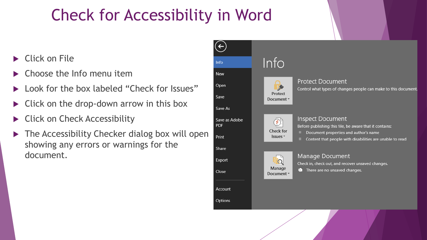### Check for Accessibility in Word

- ▶ Click on File
- Choose the Info menu item
- Look for the box labeled "Check for Issues"
- Click on the drop-down arrow in this box
- Click on Check Accessibility
- The Accessibility Checker dialog box will open showing any errors or warnings for the document.

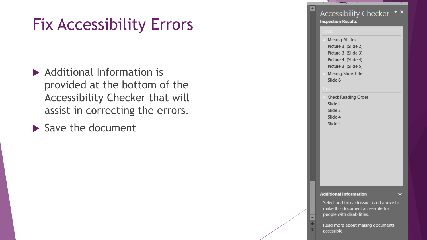### Fix Accessibility Errors

- ▶ Additional Information is provided at the bottom of the Accessibility Checker that will assist in correcting the errors.
- $\blacktriangleright$  Save the document

Accessibility Checker ▼ × **Inspection Results** 

×

**Missing Alt Text** Picture 3 (Slide 2) Picture 3 (Slide 3) Picture 4 (Slide 4) Picture 3 (Slide 5) **Missing Slide Title** 

**Continue** 

Slide 6

- **Check Reading Order** Slide 2
- Slide 3
- Slide 4

### Slide 5

### **Additional Information**

Select and fix each issue listed above to make this document accessible for people with disabilities.

Read more about making documents accessible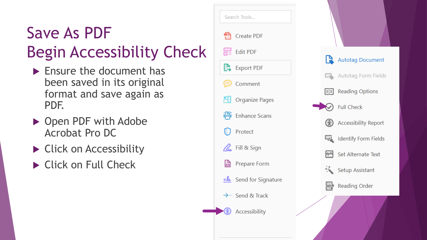# Save As PDF Begin Accessibility Check

- $\blacktriangleright$  Ensure the document has been saved in its original format and save again as PDF.
- ▶ Open PDF with Adobe Acrobat Pro DC
- ▶ Click on Accessibility
- ▶ Click on Full Check

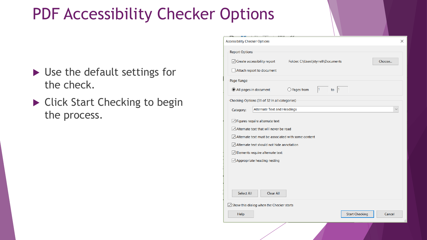### PDF Accessibility Checker Options

- ▶ Use the default settings for the check.
- ▶ Click Start Checking to begin the process.

| <b>Accessibility Checker Options</b>                            |                                     |                       | ×            |  |  |  |  |  |
|-----------------------------------------------------------------|-------------------------------------|-----------------------|--------------|--|--|--|--|--|
| <b>Report Options</b>                                           |                                     |                       |              |  |  |  |  |  |
| $\sqrt{ }$ Create accessibility report                          | Folder: C:\Users\ktyrrell\Documents |                       | Choose       |  |  |  |  |  |
|                                                                 |                                     |                       |              |  |  |  |  |  |
| Attach report to document                                       |                                     |                       |              |  |  |  |  |  |
| Page Range                                                      |                                     |                       |              |  |  |  |  |  |
| $\bigcirc$ Pages from<br>All pages in document                  | $\vert$ 1<br>to $ 1$                |                       |              |  |  |  |  |  |
| Checking Options (31 of 32 in all categories)                   |                                     |                       |              |  |  |  |  |  |
| <b>Alternate Text and Headings</b><br>Category:                 |                                     |                       | $\checkmark$ |  |  |  |  |  |
| $\boxed{\smile}$ Figures require alternate text                 |                                     |                       |              |  |  |  |  |  |
| $\sqrt{\phantom{a}}$ Alternate text that will never be read     |                                     |                       |              |  |  |  |  |  |
| $\sqrt{\ }$ Alternate text must be associated with some content |                                     |                       |              |  |  |  |  |  |
| $\sqrt{\phantom{a}}$ Alternate text should not hide annotation  |                                     |                       |              |  |  |  |  |  |
| Elements require alternate text                                 |                                     |                       |              |  |  |  |  |  |
| ☑ Appropriate heading nesting                                   |                                     |                       |              |  |  |  |  |  |
|                                                                 |                                     |                       |              |  |  |  |  |  |
|                                                                 |                                     |                       |              |  |  |  |  |  |
|                                                                 |                                     |                       |              |  |  |  |  |  |
| Select All<br><b>Clear All</b>                                  |                                     |                       |              |  |  |  |  |  |
| $\sqrt{\ }$ Show this dialog when the Checker starts            |                                     |                       |              |  |  |  |  |  |
| Help                                                            |                                     | <b>Start Checking</b> | Cancel       |  |  |  |  |  |
|                                                                 |                                     |                       |              |  |  |  |  |  |
|                                                                 |                                     |                       |              |  |  |  |  |  |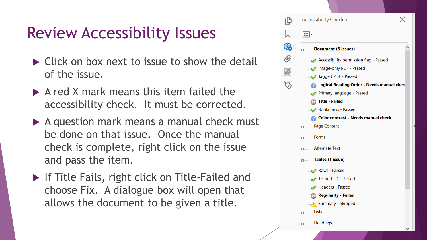### Review Accessibility Issues

- $\triangleright$  Click on box next to issue to show the detail of the issue.
- $\triangleright$  A red X mark means this item failed the accessibility check. It must be corrected.
- A question mark means a manual check must be done on that issue. Once the manual check is complete, right click on the issue and pass the item.
- **If Title Fails, right click on Title-Failed and** choose Fix. A dialogue box will open that allows the document to be given a title.